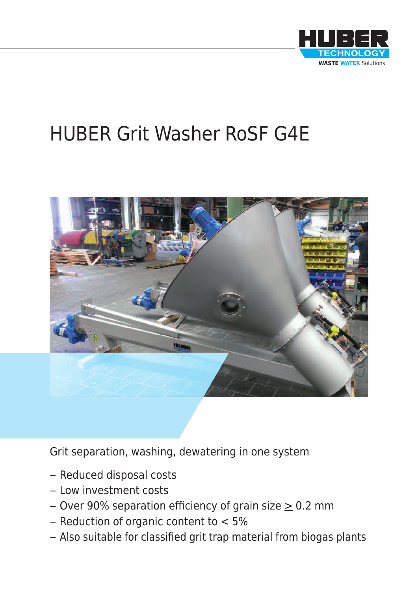

# HUBER Grit Washer RoSF G4E



Grit separation, washing, dewatering in one system

- Reduced disposal costs
- Low investment costs
- Over 90% separation efficiency of grain size  $\geq$  0.2 mm
- Reduction of organic content to  $\leq 5\%$
- Also suitable for classified grit trap material from biogas plants